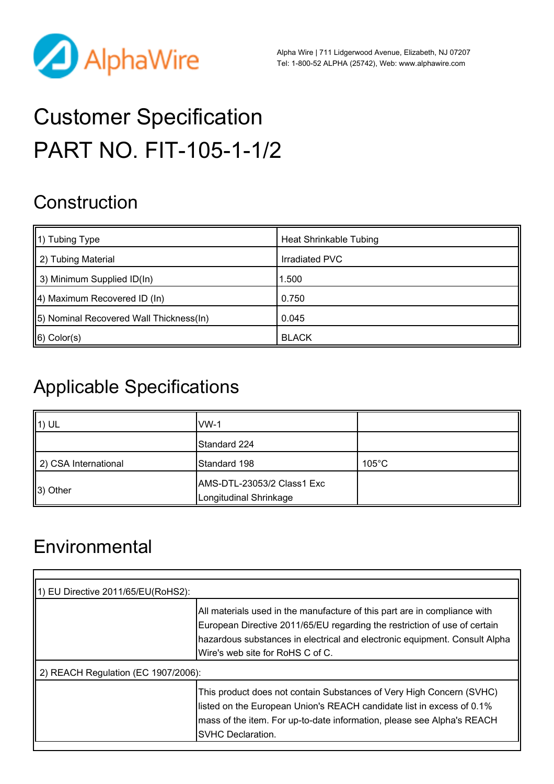

Alpha Wire | 711 Lidgerwood Avenue, Elizabeth, NJ 07207 Tel: 1-800-52 ALPHA (25742), Web: [www.alphawire.com](http://www.alphawire.com)

# Customer Specification PART NO. FIT-105-1-1/2

# **Construction**

| $\parallel$ 1) Tubing Type               | <b>Heat Shrinkable Tubing</b> |
|------------------------------------------|-------------------------------|
| 2) Tubing Material                       | Irradiated PVC                |
| $\parallel$ 3) Minimum Supplied ID(In)   | 1.500                         |
| $\parallel$ 4) Maximum Recovered ID (In) | 0.750                         |
| [5] Nominal Recovered Wall Thickness(In) | 0.045                         |
| $\ 6)$ Color(s)                          | <b>BLACK</b>                  |

# Applicable Specifications

| $\parallel$ 1) UL    | IVW-1                                                |                 |
|----------------------|------------------------------------------------------|-----------------|
|                      | Standard 224                                         |                 |
| 2) CSA International | Standard 198                                         | $105^{\circ}$ C |
| $\parallel$ 3) Other | AMS-DTL-23053/2 Class1 Exc<br>Longitudinal Shrinkage |                 |

# **Environmental**

| 1) EU Directive 2011/65/EU(RoHS2):  |                                                                                                                                                                                                                                                                           |  |  |
|-------------------------------------|---------------------------------------------------------------------------------------------------------------------------------------------------------------------------------------------------------------------------------------------------------------------------|--|--|
|                                     | All materials used in the manufacture of this part are in compliance with<br>European Directive 2011/65/EU regarding the restriction of use of certain<br>hazardous substances in electrical and electronic equipment. Consult Alpha<br>IWire's web site for RoHS C of C. |  |  |
| 2) REACH Regulation (EC 1907/2006): |                                                                                                                                                                                                                                                                           |  |  |
|                                     | This product does not contain Substances of Very High Concern (SVHC)<br>listed on the European Union's REACH candidate list in excess of 0.1%<br>mass of the item. For up-to-date information, please see Alpha's REACH<br><b>SVHC Declaration.</b>                       |  |  |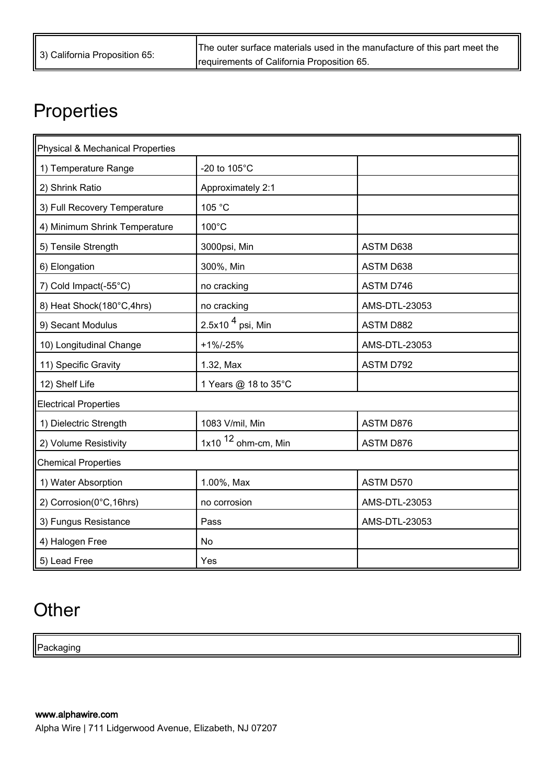The outer surface materials used in the manufacture of this part meet the requirements of California Proposition 65.

# **Properties**

| <b>Physical &amp; Mechanical Properties</b> |                       |               |  |  |
|---------------------------------------------|-----------------------|---------------|--|--|
| 1) Temperature Range                        | -20 to 105°C          |               |  |  |
| 2) Shrink Ratio                             | Approximately 2:1     |               |  |  |
| 3) Full Recovery Temperature                | 105 °C                |               |  |  |
| 4) Minimum Shrink Temperature               | 100°C                 |               |  |  |
| 5) Tensile Strength                         | 3000psi, Min          | ASTM D638     |  |  |
| 6) Elongation                               | 300%, Min             | ASTM D638     |  |  |
| 7) Cold Impact(-55°C)                       | no cracking           | ASTM D746     |  |  |
| 8) Heat Shock(180°C,4hrs)                   | no cracking           | AMS-DTL-23053 |  |  |
| 9) Secant Modulus                           | 2.5x10 $4$ psi, Min   | ASTM D882     |  |  |
| 10) Longitudinal Change                     | $+1\% -25\%$          | AMS-DTL-23053 |  |  |
| 11) Specific Gravity                        | 1.32, Max             | ASTM D792     |  |  |
| 12) Shelf Life                              | 1 Years @ 18 to 35°C  |               |  |  |
| <b>Electrical Properties</b>                |                       |               |  |  |
| 1) Dielectric Strength                      | 1083 V/mil, Min       | ASTM D876     |  |  |
| 2) Volume Resistivity                       | 1x10 $12$ ohm-cm, Min | ASTM D876     |  |  |
| <b>Chemical Properties</b>                  |                       |               |  |  |
| 1) Water Absorption                         | 1.00%, Max            | ASTM D570     |  |  |
| 2) Corrosion(0°C,16hrs)                     | no corrosion          | AMS-DTL-23053 |  |  |
| 3) Fungus Resistance                        | Pass                  | AMS-DTL-23053 |  |  |
| 4) Halogen Free                             | No                    |               |  |  |
| 5) Lead Free                                | Yes                   |               |  |  |

# **Other**

Packaging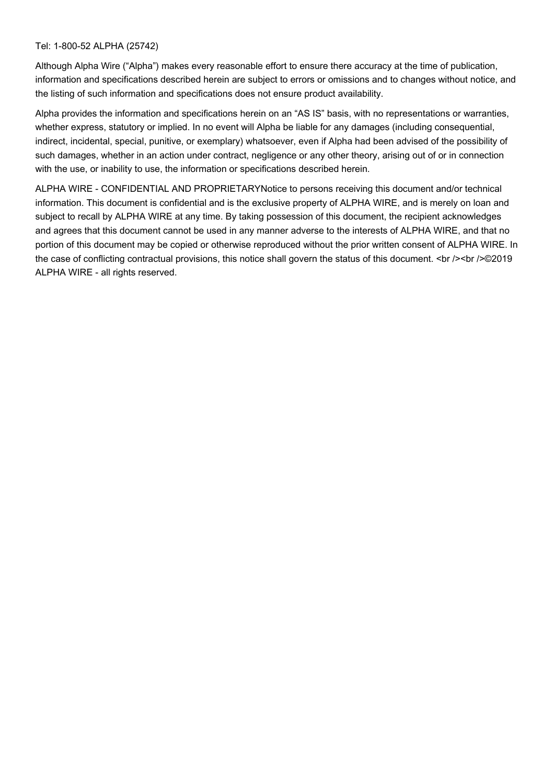#### Tel: 1-800-52 ALPHA (25742)

Although Alpha Wire ("Alpha") makes every reasonable effort to ensure there accuracy at the time of publication, information and specifications described herein are subject to errors or omissions and to changes without notice, and the listing of such information and specifications does not ensure product availability.

Alpha provides the information and specifications herein on an "AS IS" basis, with no representations or warranties, whether express, statutory or implied. In no event will Alpha be liable for any damages (including consequential, indirect, incidental, special, punitive, or exemplary) whatsoever, even if Alpha had been advised of the possibility of such damages, whether in an action under contract, negligence or any other theory, arising out of or in connection with the use, or inability to use, the information or specifications described herein.

ALPHA WIRE - CONFIDENTIAL AND PROPRIETARYNotice to persons receiving this document and/or technical information. This document is confidential and is the exclusive property of ALPHA WIRE, and is merely on loan and subject to recall by ALPHA WIRE at any time. By taking possession of this document, the recipient acknowledges and agrees that this document cannot be used in any manner adverse to the interests of ALPHA WIRE, and that no portion of this document may be copied or otherwise reproduced without the prior written consent of ALPHA WIRE. In the case of conflicting contractual provisions, this notice shall govern the status of this document.  $\text{>}\text{->~}$  />  $\textcircled{2019}$ ALPHA WIRE - all rights reserved.